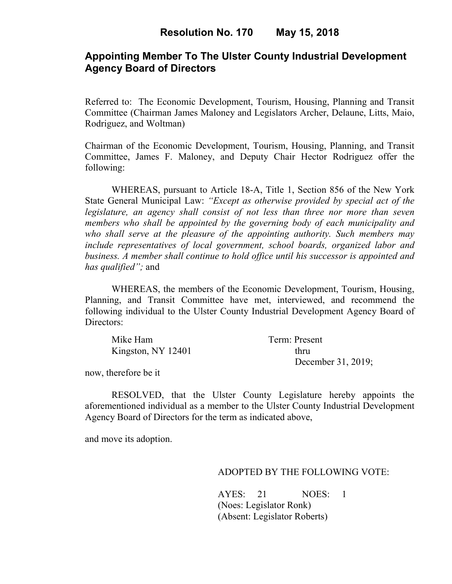## **Appointing Member To The Ulster County Industrial Development Agency Board of Directors**

Referred to: The Economic Development, Tourism, Housing, Planning and Transit Committee (Chairman James Maloney and Legislators Archer, Delaune, Litts, Maio, Rodriguez, and Woltman)

Chairman of the Economic Development, Tourism, Housing, Planning, and Transit Committee, James F. Maloney, and Deputy Chair Hector Rodriguez offer the following:

WHEREAS, pursuant to Article 18-A, Title 1, Section 856 of the New York State General Municipal Law: *"Except as otherwise provided by special act of the legislature, an agency shall consist of not less than three nor more than seven members who shall be appointed by the governing body of each municipality and who shall serve at the pleasure of the appointing authority. Such members may include representatives of local government, school boards, organized labor and business. A member shall continue to hold office until his successor is appointed and has qualified";* and

WHEREAS, the members of the Economic Development, Tourism, Housing, Planning, and Transit Committee have met, interviewed, and recommend the following individual to the Ulster County Industrial Development Agency Board of Directors:

| Mike Ham           | Term: Present      |
|--------------------|--------------------|
| Kingston, NY 12401 | thru               |
|                    | December 31, 2019; |

now, therefore be it

RESOLVED, that the Ulster County Legislature hereby appoints the aforementioned individual as a member to the Ulster County Industrial Development Agency Board of Directors for the term as indicated above,

and move its adoption.

#### ADOPTED BY THE FOLLOWING VOTE:

AYES: 21 NOES: 1 (Noes: Legislator Ronk) (Absent: Legislator Roberts)